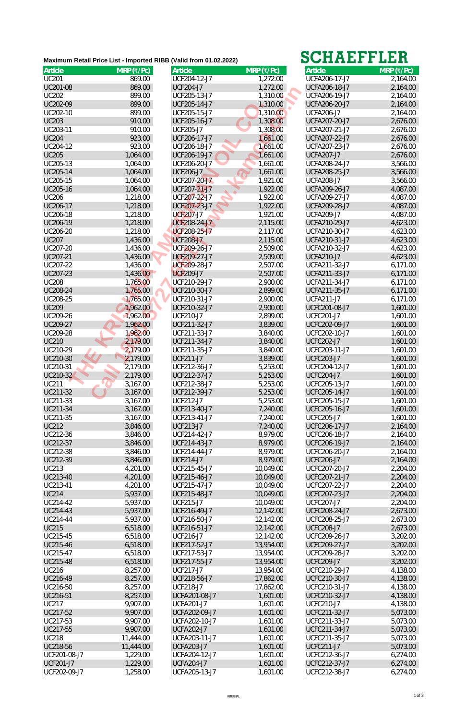| Article          | $MRP$ (₹/Pc) | <b>Article</b>      | $MRP$ (₹/Pc) | <b>Article</b>       | $MRP$ (₹/Pc) |
|------------------|--------------|---------------------|--------------|----------------------|--------------|
| <b>UC201</b>     | 869.00       | UCF204-12-J7        | 1,272.00     | <b>UCFA206-17-J7</b> | 2,164.00     |
| UC201-08         | 869.00       | <b>UCF204-J7</b>    | 1,272.00     | <b>UCFA206-18-J7</b> | 2,164.00     |
| <b>UC202</b>     | 899.00       | UCF205-13-J7        | 1,310.00     | <b>UCFA206-19-J7</b> | 2,164.00     |
| UC202-09         | 899.00       | UCF205-14-J7        | 1,310.00     | <b>UCFA206-20-J7</b> | 2,164.00     |
| UC202-10         | 899.00       | UCF205-15-J7        | 1,310.00     | UCFA206-J7           | 2,164.00     |
| <b>UC203</b>     | 910.00       | UCF205-16-J7        | 1,308.00     | UCFA207-20-J7        | 2,676.00     |
| UC203-11         | 910.00       | <b>UCF205-J7</b>    | 1,308.00     | UCFA207-21-J7        | 2,676.00     |
| <b>UC204</b>     | 923.00       | UCF206-17-J7        | 1,661.00     | UCFA207-22-J7        | 2,676.00     |
| UC204-12         | 923.00       |                     |              |                      |              |
|                  |              | UCF206-18-J7        | 1,661.00     | UCFA207-23-J7        | 2,676.00     |
| <b>UC205</b>     | 1,064.00     | UCF206-19-J7        | 1,661.00     | <b>UCFA207-J7</b>    | 2,676.00     |
| UC205-13         | 1,064.00     | UCF206-20-J7        | 1,661.00     | UCFA208-24-J7        | 3,566.00     |
| UC205-14         | 1,064.00     | <b>UCF206-J7</b>    | 1,661.00     | <b>UCFA208-25-J7</b> | 3,566.00     |
| UC205-15         | 1,064.00     | UCF207-20-J7        | 1,921.00     | UCFA208-J7           | 3,566.00     |
| UC205-16         | 1,064.00     | UCF207-21-J7        | 1,922.00     | UCFA209-26-J7        | 4,087.00     |
| <b>UC206</b>     | 1,218.00     | UCF207-22-J7        | 1,922.00     | UCFA209-27-J7        | 4,087.00     |
| UC206-17         | 1,218.00     | <b>UCF207-23-J7</b> | 1,922.00     | <b>UCFA209-28-J7</b> | 4,087.00     |
| UC206-18         | 1,218.00     | <b>UCF207-J7</b>    | 1,921.00     | <b>UCFA209-J7</b>    | 4,087.00     |
| UC206-19         | 1,218.00     | <b>UCF208-24-J7</b> | 2,115.00     | UCFA210-29-J7        | 4,623.00     |
| UC206-20         | 1,218.00     | <b>UCF208-25-J7</b> | 2,117.00     | UCFA210-30-J7        | 4,623.00     |
| <b>UC207</b>     | 1,436.00     | <b>UCF208-J7</b>    | 2,115.00     | UCFA210-31-J7        | 4,623.00     |
| UC207-20         | 1,436.00     | UCF209-26-J7        | 2,509.00     | UCFA210-32-J7        | 4,623.00     |
| UC207-21         | 1,436.00     | <b>UCF209-27-J7</b> | 2,509.00     | <b>UCFA210-J7</b>    | 4,623.00     |
| UC207-22         | 1,436.00     | UCF209-28-J7        | 2,507.00     | UCFA211-32-J7        | 6,171.00     |
| UC207-23         | 1,436.00     | <b>UCF209-J7</b>    | 2,507.00     | UCFA211-33-J7        | 6,171.00     |
| <b>UC208</b>     | 1,765.00     | UCF210-29-J7        | 2,900.00     | UCFA211-34-J7        | 6,171.00     |
| UC208-24         | 1,765.00     | UCF210-30-J7        | 2,899.00     | UCFA211-35-J7        | 6,171.00     |
| UC208-25         | 1,765.00     | UCF210-31-J7        | 2,900.00     | UCFA211-J7           | 6,171.00     |
| <b>UC209</b>     | 1,962.00     | UCF210-32-J7        | 2,900.00     | UCFC201-08-J7        | 1,601.00     |
| UC209-26         | 1,962.00     | <b>UCF210-J7</b>    |              | UCFC201-J7           |              |
| UC209-27         |              |                     | 2,899.00     |                      | 1,601.00     |
|                  | 1,962.00     | UCF211-32-J7        | 3,839.00     | UCFC202-09-J7        | 1,601.00     |
| UC209-28         | 1,962.00     | UCF211-33-J7        | 3,840.00     | UCFC202-10-J7        | 1,601.00     |
| <b>UC210</b>     | 2,179.00     | UCF211-34-J7        | 3,840.00     | <b>UCFC202-J7</b>    | 1,601.00     |
| UC210-29         | 2,179.00     | UCF211-35-J7        | 3,840.00     | UCFC203-11-J7        | 1,601.00     |
| UC210-30         | 2,179.00     | <b>UCF211-J7</b>    | 3,839.00     | <b>UCFC203-J7</b>    | 1,601.00     |
| UC210-31         | 2,179.00     | UCF212-36-J7        | 5,253.00     | UCFC204-12-J7        | 1,601.00     |
| UC210-32         | 2,179.00     | UCF212-37-J7        | 5,253.00     | <b>UCFC204-J7</b>    | 1,601.00     |
| <b>UC211</b>     | 3,167.00     | UCF212-38-J7        | 5,253.00     | UCFC205-13-J7        | 1,601.00     |
| UC211-32         | 3,167.00     | UCF212-39-J7        | 5,253.00     | <b>UCFC205-14-J7</b> | 1,601.00     |
| UC211-33         | 3,167.00     | <b>UCF212-J7</b>    | 5,253.00     | UCFC205-15-J7        | 1,601.00     |
| UC211-34         | 3,167.00     | UCF213-40-J7        | 7,240.00     | UCFC205-16-J7        | 1,601.00     |
| UC211-35         | 3,167.00     | UCF213-41-J7        | 7,240.00     | UCFC205-J7           | 1,601.00     |
| <b>UC212</b>     | 3,846.00     | <b>UCF213-J7</b>    | 7,240.00     | <b>UCFC206-17-J7</b> | 2,164.00     |
| UC212-36         | 3,846.00     | UCF214-42-J7        | 8,979.00     | UCFC206-18-J7        | 2,164.00     |
| UC212-37         | 3,846.00     | UCF214-43-J7        | 8,979.00     | UCFC206-19-J7        | 2,164.00     |
| UC212-38         | 3,846.00     | UCF214-44-J7        | 8,979.00     | UCFC206-20-J7        | 2,164.00     |
| UC212-39         | 3,846.00     | <b>UCF214-J7</b>    | 8,979.00     | <b>UCFC206-J7</b>    | 2,164.00     |
| <b>UC213</b>     | 4,201.00     | UCF215-45-J7        | 10,049.00    | UCFC207-20-J7        | 2,204.00     |
| UC213-40         | 4,201.00     | UCF215-46-J7        | 10,049.00    | UCFC207-21-J7        | 2,204.00     |
| UC213-41         | 4,201.00     | UCF215-47-J7        | 10,049.00    | UCFC207-22-J7        | 2,204.00     |
| <b>UC214</b>     | 5,937.00     | UCF215-48-J7        | 10,049.00    | UCFC207-23-J7        | 2,204.00     |
| UC214-42         | 5,937.00     | <b>UCF215-J7</b>    | 10,049.00    | UCFC207-J7           | 2,204.00     |
| UC214-43         | 5,937.00     | UCF216-49-J7        | 12,142.00    | UCFC208-24-J7        | 2,673.00     |
| UC214-44         | 5,937.00     | UCF216-50-J7        | 12,142.00    | UCFC208-25-J7        | 2,673.00     |
| <b>UC215</b>     |              |                     |              | <b>UCFC208-J7</b>    |              |
|                  | 6,518.00     | UCF216-51-J7        | 12,142.00    |                      | 2,673.00     |
| UC215-45         | 6,518.00     | <b>UCF216-J7</b>    | 12,142.00    | UCFC209-26-J7        | 3,202.00     |
| UC215-46         | 6,518.00     | UCF217-52-J7        | 13,954.00    | UCFC209-27-J7        | 3,202.00     |
| UC215-47         | 6,518.00     | UCF217-53-J7        | 13,954.00    | UCFC209-28-J7        | 3,202.00     |
| UC215-48         | 6,518.00     | UCF217-55-J7        | 13,954.00    | <b>UCFC209-J7</b>    | 3,202.00     |
| <b>UC216</b>     | 8,257.00     | <b>UCF217-J7</b>    | 13,954.00    | UCFC210-29-J7        | 4,138.00     |
| UC216-49         | 8,257.00     | UCF218-56-J7        | 17,862.00    | UCFC210-30-J7        | 4,138.00     |
| UC216-50         | 8,257.00     | <b>UCF218-J7</b>    | 17,862.00    | UCFC210-31-J7        | 4,138.00     |
| UC216-51         | 8,257.00     | UCFA201-08-J7       | 1,601.00     | UCFC210-32-J7        | 4,138.00     |
| <b>UC217</b>     | 9,907.00     | <b>UCFA201-J7</b>   | 1,601.00     | UCFC210-J7           | 4,138.00     |
| UC217-52         | 9,907.00     | UCFA202-09-J7       | 1,601.00     | UCFC211-32-J7        | 5,073.00     |
| UC217-53         | 9,907.00     | UCFA202-10-J7       | 1,601.00     | UCFC211-33-J7        | 5,073.00     |
| UC217-55         | 9,907.00     | <b>UCFA202-J7</b>   | 1,601.00     | UCFC211-34-J7        | 5,073.00     |
| <b>UC218</b>     | 11,444.00    | UCFA203-11-J7       | 1,601.00     | UCFC211-35-J7        | 5,073.00     |
| UC218-56         | 11,444.00    | <b>UCFA203-J7</b>   | 1,601.00     | <b>UCFC211-J7</b>    | 5,073.00     |
| UCF201-08-J7     | 1,229.00     | UCFA204-12-J7       | 1,601.00     | UCFC212-36-J7        | 6,274.00     |
| <b>UCF201-J7</b> | 1,229.00     | <b>UCFA204-J7</b>   |              | UCFC212-37-J7        |              |
|                  |              |                     | 1,601.00     |                      | 6,274.00     |
| UCF202-09-J7     | 1,258.00     | UCFA205-13-J7       | 1,601.00     | UCFC212-38-J7        | 6,274.00     |

| 71 I AN 1971         | LLLLL        |
|----------------------|--------------|
| <b>Article</b>       | $MRP$ (₹/Pc) |
| UCFA206-17-J7        | 2,164.00     |
| <b>UCFA206-18-J7</b> | 2,164.00     |
| UCFA206-19-J7        | 2,164.00     |
| UCFA206-20-J7        | 2,164.00     |
| <b>UCFA206-J7</b>    | 2,164.00     |
| UCFA207-20-J7        | 2,676.00     |
| UCFA207-21-J7        | 2,676.00     |
| UCFA207-22-J7        | 2,676.00     |
| UCFA207-23-J7        | 2,676.00     |
| <b>UCFA207-J7</b>    | 2,676.00     |
| UCFA208-24-J7        | 3,566.00     |
| UCFA208-25-J7        | 3,566.00     |
| <b>UCFA208-J7</b>    | 3,566.00     |
| UCFA209-26-J7        | 4,087.00     |
| UCFA209-27-J7        | 4,087.00     |
| <b>UCFA209-28-J7</b> | 4,087.00     |
| <b>UCFA209-J7</b>    | 4,087.00     |
| UCFA210-29-J7        | 4,623.00     |
| UCFA210-30-J7        | 4,623.00     |
| UCFA210-31-J7        | 4,623.00     |
| UCFA210-32-J7        | 4,623.00     |
| <b>UCFA210-J7</b>    | 4,623.00     |
| UCFA211-32-J7        | 6,171.00     |
| UCFA211-33-J7        | 6,171.00     |
| UCFA211-34-J7        | 6,171.00     |
| UCFA211-35-J7        | 6,171.00     |
| <b>UCFA211-J7</b>    | 6,171.00     |
| <b>UCFC201-08-J7</b> | 1,601.00     |
| <b>UCFC201-J7</b>    | 1,601.00     |
| UCFC202-09-J7        | 1,601.00     |
| UCFC202-10-J7        | 1,601.00     |
| <b>UCFC202-J7</b>    | 1,601.00     |
| UCFC203-11-J7        | 1,601.00     |
| UCFC203-J7           | 1,601.00     |
| UCFC204-12-J7        | 1,601.00     |
| <b>UCFC204-J7</b>    | 1,601.00     |
| UCFC205-13-J7        | 1,601.00     |
| <b>UCFC205-14-J7</b> | 1,601.00     |
| UCFC205-15-J7        | 1,601.00     |
| UCFC205-16-J7        | 1,601.00     |
| <b>UCFC205-J7</b>    | 1,601.00     |
| UCFC206-17-J7        | 2,164.00     |
| UCFC206-18-J7        | 2,164.00     |
| UCFC206-19-J7        | 2,164.00     |
| UCFC206-20-J7        | 2,164.00     |
| <b>UCFC206-J7</b>    | 2,164.00     |
| UCFC207-20-J7        | 2,204.00     |
| UCFC207-21-J7        | 2,204.00     |
| UCFC207-22-J7        | 2,204.00     |
| UCFC207-23-J7        | 2,204.00     |
| <b>UCFC207-J7</b>    | 2,204.00     |
| UCFC208-24-J7        | 2,673.00     |
| UCFC208-25-J7        | 2,673.00     |
| <b>UCFC208-J7</b>    | 2,673.00     |
| UCFC209-26-J7        | 3,202.00     |
| UCFC209-27-J7        | 3,202.00     |
| UCFC209-28-J7        | 3,202.00     |
| <b>UCFC209-J7</b>    | 3,202.00     |
| UCFC210-29-J7        | 4,138.00     |
| UCFC210-30-J7        | 4,138.00     |
| UCFC210-31-J7        | 4,138.00     |
| UCFC210-32-J7        | 4,138.00     |
| <b>UCFC210-J7</b>    | 4,138.00     |
| UCFC211-32-J7        | 5,073.00     |
| UCFC211-33-J7        | 5,073.00     |
| UCFC211-34-J7        | 5,073.00     |
| UCFC211-35-J7        | 5,073.00     |
| <b>UCFC211-J7</b>    | 5,073.00     |
| UCFC212-36-J7        | 6,274.00     |
| UCFC212-37-J7        | 6,274.00     |
| UCFC212-38-J7        | 6,274.00     |

## **Maximum Retail Price List - Imported RIBB (Valid from 01.02.2022)**

## **SCHAEFFLER**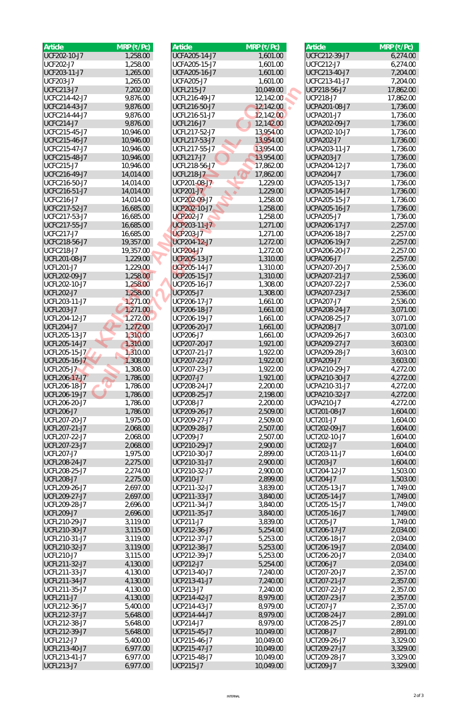| Article                                   | $MRP$ (₹/Pc)         | Article                          | $MRP$ (₹/Pc)         | <b>Article</b>                   | $MRP$ (₹/Pc)         |
|-------------------------------------------|----------------------|----------------------------------|----------------------|----------------------------------|----------------------|
| UCF202-10-J7                              | 1,258.00             | UCFA205-14-J7                    | 1,601.00             | UCFC212-39-J7                    | 6,274.00             |
| <b>UCF202-J7</b>                          | 1,258.00             | UCFA205-15-J7                    | 1,601.00             | <b>UCFC212-J7</b>                | 6,274.00             |
| UCF203-11-J7                              | 1,265.00             | UCFA205-16-J7                    | 1,601.00             | UCFC213-40-J7                    | 7,204.00             |
| <b>UCF203-J7</b>                          | 1,265.00             | <b>UCFA205-J7</b>                | 1,601.00             | UCFC213-41-J7                    | 7,204.00             |
| <b>UCFC213-J7</b>                         | 7,202.00             | <b>UCFL215-J7</b>                | 10,049.00            | UCP218-56-J7                     | 17,862.00            |
| UCFC214-42-J7                             | 9,876.00             | UCFL216-49-J7                    | 12,142.00            | <b>UCP218-J7</b>                 | 17,862.00            |
| UCFC214-43-J7                             | 9,876.00             | UCFL216-50-J7                    | 12,142.00            | UCPA201-08-J7                    | 1,736.00             |
| UCFC214-44-J7                             | 9,876.00             | UCFL216-51-J7                    | 12,142.00            | <b>UCPA201-J7</b>                | 1,736.00             |
| <b>UCFC214-J7</b>                         | 9,876.00             | <b>UCFL216-J7</b>                | 12,142.00            | UCPA202-09-J7                    | 1,736.00             |
| UCFC215-45-J7                             | 10,946.00            | UCFL217-52-J7                    | 13,954.00            | UCPA202-10-J7                    | 1,736.00             |
| UCFC215-46-J7                             | 10,946.00            | UCFL217-53-J7                    | 13,954.00            | <b>UCPA202-J7</b>                | 1,736.00             |
| UCFC215-47-J7                             | 10,946.00            | UCFL217-55-J7                    | 13,954.00            | UCPA203-11-J7                    | 1,736.00             |
| UCFC215-48-J7                             | 10,946.00            | <b>UCFL217-J7</b>                | 13,954.00            | <b>UCPA203-J7</b>                | 1,736.00             |
| <b>UCFC215-J7</b>                         | 10,946.00            | UCFL218-56-J7                    | 17,862.00            | UCPA204-12-J7                    | 1,736.00             |
| UCFC216-49-J7                             | 14,014.00            | <b>UCFL218-J7</b>                | 17,862.00            | <b>UCPA204-J7</b>                | 1,736.00             |
| UCFC216-50-J7                             | 14,014.00            | UCP201-08-J7                     | 1,229.00             | UCPA205-13-J7                    | 1,736.00             |
| UCFC216-51-J7                             | 14,014.00            | <b>UCP201-J7</b>                 | 1,229.00             | UCPA205-14-J7                    | 1,736.00             |
| <b>UCFC216-J7</b>                         | 14,014.00            | UCP202-09-J7                     | 1,258.00             | UCPA205-15-J7                    | 1,736.00             |
| UCFC217-52-J7                             | 16,685.00            | UCP202-10-J7                     | 1,258.00             | UCPA205-16-J7                    | 1,736.00             |
| UCFC217-53-J7                             | 16,685.00            | <b>UCP202-J7</b>                 | 1,258.00             | <b>UCPA205-J7</b>                | 1,736.00             |
| UCFC217-55-J7                             | 16,685.00            | UCP203-11-J7                     | 1,271.00             | UCPA206-17-J7                    | 2,257.00             |
| <b>UCFC217-J7</b>                         | 16,685.00            | <b>UCP203-J7</b>                 | 1,271.00             | UCPA206-18-J7                    | 2,257.00             |
| UCFC218-56-J7                             | 19,357.00            | UCP204-12-J7                     | 1,272.00             | UCPA206-19-J7                    | 2,257.00             |
| <b>UCFC218-J7</b>                         | 19,357.00            | <b>UCP204-J7</b>                 | 1,272.00             | UCPA206-20-J7                    | 2,257.00             |
| UCFL201-08-J7                             | 1,229.00             | UCP205-13-J7                     | 1,310.00             | <b>UCPA206-J7</b>                | 2,257.00             |
| <b>UCFL201-J7</b>                         | 1,229.00             | UCP205-14-J7                     | 1,310.00             | UCPA207-20-J7                    | 2,536.00             |
| UCFL202-09-J7                             | 1,258.00             | UCP205-15-J7                     | 1,310.00             | UCPA207-21-J7                    | 2,536.00             |
| UCFL202-10-J7                             | 1,258.00             | UCP205-16-J7                     | 1,308.00             | UCPA207-22-J7                    | 2,536.00             |
| <b>UCFL202-J7</b>                         | 1,258.00             | <b>UCP205-J7</b>                 | 1,308.00             | UCPA207-23-J7                    | 2,536.00             |
| UCFL203-11-J7                             | 1,271.00             | UCP206-17-J7                     | 1,661.00             | <b>UCPA207-J7</b>                |                      |
| UCFL203-J7                                |                      | UCP206-18-J7                     |                      | UCPA208-24-J7                    | 2,536.00             |
| UCFL204-12-J7                             | 1,271.00<br>1,272.00 | UCP206-19-J7                     | 1,661.00<br>1,661.00 | UCPA208-25-J7                    | 3,071.00             |
| <b>UCFL204-J7</b>                         | 1,272.00             | UCP206-20-J7                     |                      | <b>UCPA208-J7</b>                | 3,071.00             |
|                                           |                      |                                  | 1,661.00             |                                  | 3,071.00             |
| UCFL205-13-J7<br>UCFL205-14-J7            | 1,310.00             | <b>UCP206-J7</b><br>UCP207-20-J7 | 1,661.00             | UCPA209-26-J7                    | 3,603.00             |
| UCFL205-15-J7                             | 1,310.00             |                                  | 1,921.00             | UCPA209-27-J7                    | 3,603.00             |
|                                           | 1,310.00             | UCP207-21-J7                     | 1,922.00             | UCPA209-28-J7                    | 3,603.00             |
| UCFL205-16-J7                             | 1,308.00             | UCP207-22-J7                     | 1,922.00             | <b>UCPA209-J7</b>                | 3,603.00             |
| <b>UCFL205-J7</b>                         | 1,308.00             | UCP207-23-J7                     | 1,922.00             | UCPA210-29-J7                    | 4,272.00             |
| UCFL206-17-J7                             | 1,786.00             | <b>UCP207-J7</b>                 | 1,921.00             | UCPA210-30-J7                    | 4,272.00             |
| UCFL206-18-J7<br>UCFL206-19-J7            | 1,786.00             | UCP208-24-J7<br>UCP208-25-J7     | 2,200.00             | UCPA210-31-J7<br>UCPA210-32-J7   | 4,272.00             |
| UCFL206-20-J7                             | 1,786.00<br>1,786.00 | <b>UCP208-J7</b>                 | 2,198.00<br>2,200.00 | <b>UCPA210-J7</b>                | 4,272.00<br>4,272.00 |
| <b>UCFL206-J7</b>                         | 1,786.00             | UCP209-26-J7                     | 2,509.00             | UCT201-08-J7                     |                      |
| UCFL207-20-J7                             |                      | UCP209-27-J7                     |                      | <b>UCT201-J7</b>                 | 1,604.00             |
| UCFL207-21-J7                             | 1,975.00             | UCP209-28-J7                     | 2,509.00             | UCT202-09-J7                     | 1,604.00             |
| UCFL207-22-J7                             | 2,068.00             | <b>UCP209-J7</b>                 | 2,507.00             |                                  | 1,604.00             |
|                                           | 2,068.00             |                                  | 2,507.00             | UCT202-10-J7                     | 1,604.00             |
| UCFL207-23-J7                             | 2,068.00             | UCP210-29-J7                     | 2,900.00             | <b>UCT202-J7</b>                 | 1,604.00             |
| <b>UCFL207-J7</b><br><b>UCFL208-24-J7</b> | 1,975.00<br>2,275.00 | UCP210-30-J7<br>UCP210-31-J7     | 2,899.00<br>2,900.00 | UCT203-11-J7<br><b>UCT203-J7</b> | 1,604.00<br>1,604.00 |
|                                           |                      |                                  |                      |                                  |                      |
| UCFL208-25-J7<br><b>UCFL208-J7</b>        | 2,274.00             | UCP210-32-J7<br><b>UCP210-J7</b> | 2,900.00             | UCT204-12-J7<br><b>UCT204-J7</b> | 1,503.00             |
| UCFL209-26-J7                             | 2,275.00             | UCP211-32-J7                     | 2,899.00             |                                  | 1,503.00             |
| UCFL209-27-J7                             | 2,697.00<br>2,697.00 | UCP211-33-J7                     | 3,839.00<br>3,840.00 | UCT205-13-J7<br>UCT205-14-J7     | 1,749.00<br>1,749.00 |
| UCFL209-28-J7                             | 2,696.00             | UCP211-34-J7                     | 3,840.00             | UCT205-15-J7                     | 1,749.00             |
| <b>UCFL209-J7</b>                         | 2,696.00             | UCP211-35-J7                     | 3,840.00             | UCT205-16-J7                     | 1,749.00             |
| UCFL210-29-J7                             | 3,119.00             | <b>UCP211-J7</b>                 | 3,839.00             | <b>UCT205-J7</b>                 | 1,749.00             |
| UCFL210-30-J7                             | 3,115.00             | UCP212-36-J7                     | 5,254.00             | UCT206-17-J7                     | 2,034.00             |
| UCFL210-31-J7                             | 3,119.00             | UCP212-37-J7                     | 5,253.00             | UCT206-18-J7                     | 2,034.00             |
| UCFL210-32-J7                             | 3,119.00             | UCP212-38-J7                     | 5,253.00             | UCT206-19-J7                     | 2,034.00             |
| <b>UCFL210-J7</b>                         | 3,115.00             | UCP212-39-J7                     | 5,253.00             | UCT206-20-J7                     | 2,034.00             |
| UCFL211-32-J7                             | 4,130.00             | <b>UCP212-J7</b>                 | 5,254.00             | <b>UCT206-J7</b>                 | 2,034.00             |
| UCFL211-33-J7                             | 4,130.00             | UCP213-40-J7                     | 7,240.00             | UCT207-20-J7                     | 2,357.00             |
| UCFL211-34-J7                             | 4,130.00             | UCP213-41-J7                     | 7,240.00             | UCT207-21-J7                     | 2,357.00             |
| UCFL211-35-J7                             | 4,130.00             | <b>UCP213-J7</b>                 | 7,240.00             | UCT207-22-J7                     | 2,357.00             |
| <b>UCFL211-J7</b>                         | 4,130.00             | UCP214-42-J7                     | 8,979.00             | UCT207-23-J7                     | 2,357.00             |
| UCFL212-36-J7                             | 5,400.00             | UCP214-43-J7                     | 8,979.00             | <b>UCT207-J7</b>                 | 2,357.00             |
| UCFL212-37-J7                             | 5,648.00             | UCP214-44-J7                     | 8,979.00             | UCT208-24-J7                     | 2,891.00             |
| UCFL212-38-J7                             | 5,648.00             | <b>UCP214-J7</b>                 | 8,979.00             | UCT208-25-J7                     | 2,891.00             |
| UCFL212-39-J7                             | 5,648.00             | UCP215-45-J7                     | 10,049.00            | <b>UCT208-J7</b>                 | 2,891.00             |
| UCFL212-J7                                | 5,400.00             | UCP215-46-J7                     | 10,049.00            | UCT209-26-J7                     | 3,329.00             |
| UCFL213-40-J7                             | 6,977.00             | UCP215-47-J7                     | 10,049.00            | UCT209-27-J7                     | 3,329.00             |
| UCFL213-41-J7                             | 6,977.00             | UCP215-48-J7                     | 10,049.00            | UCT209-28-J7                     | 3,329.00             |
| <b>UCFL213-J7</b>                         | 6,977.00             | <b>UCP215-J7</b>                 | 10,049.00            | <b>UCT209-J7</b>                 | 3,329.00             |
|                                           |                      |                                  |                      |                                  |                      |